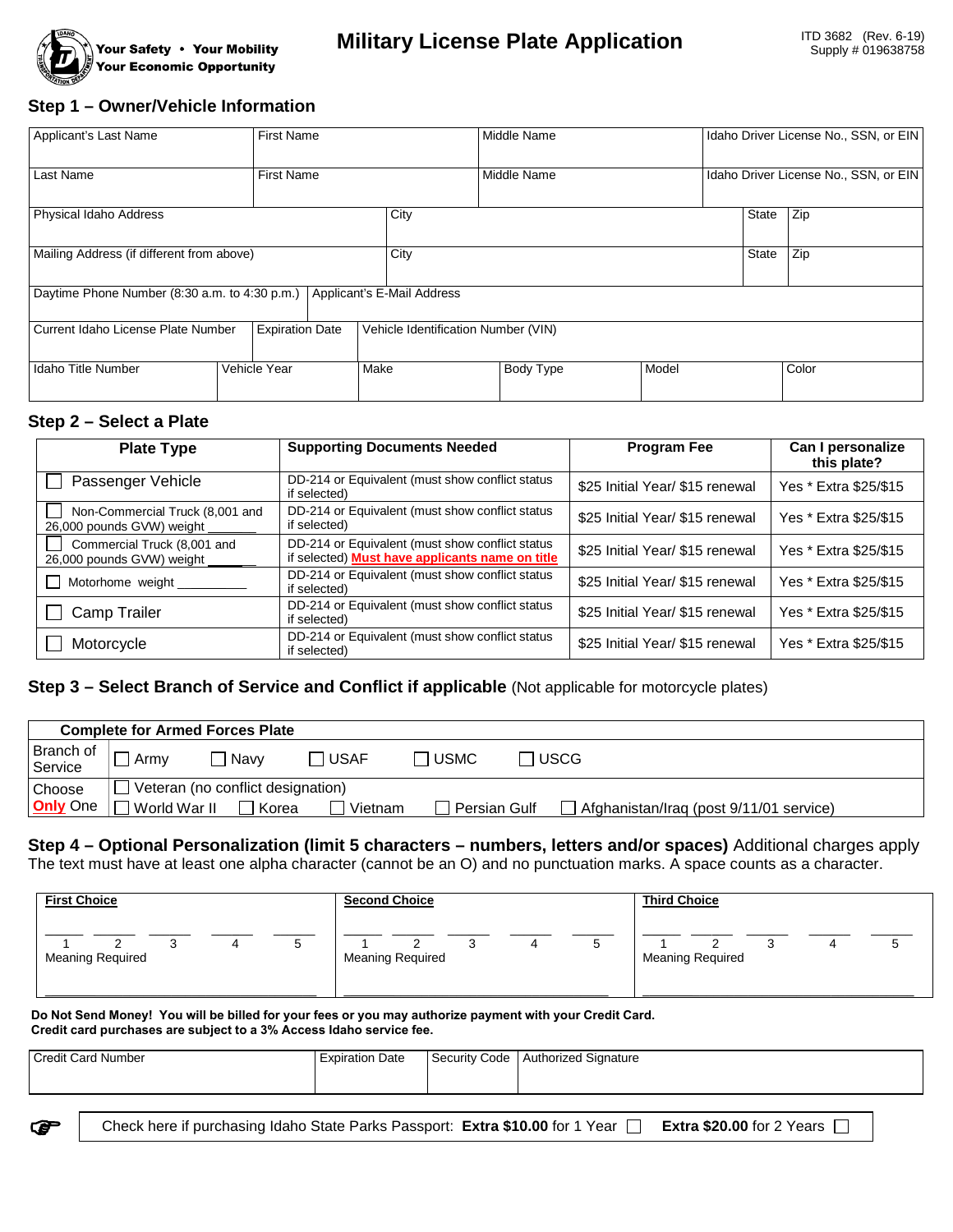

### **Step 1 – Owner/Vehicle Information**

| Applicant's Last Name                                                       | <b>First Name</b> |      | Middle Name                         |       | Idaho Driver License No., SSN, or EIN |                                       |  |
|-----------------------------------------------------------------------------|-------------------|------|-------------------------------------|-------|---------------------------------------|---------------------------------------|--|
| Last Name                                                                   | <b>First Name</b> |      | Middle Name                         |       |                                       | Idaho Driver License No., SSN, or EIN |  |
| Physical Idaho Address                                                      | City              |      |                                     |       | Zip                                   |                                       |  |
| Mailing Address (if different from above)                                   | City              |      | State                               | Zip   |                                       |                                       |  |
| Applicant's E-Mail Address<br>Daytime Phone Number (8:30 a.m. to 4:30 p.m.) |                   |      |                                     |       |                                       |                                       |  |
| <b>Expiration Date</b><br>Current Idaho License Plate Number                |                   |      | Vehicle Identification Number (VIN) |       |                                       |                                       |  |
| Idaho Title Number                                                          | Vehicle Year      | Make | Body Type                           | Model |                                       | Color                                 |  |

#### **Step 2 – Select a Plate**

| <b>Plate Type</b>                                            | <b>Supporting Documents Needed</b>                                                                 | <b>Program Fee</b>              | Can I personalize<br>this plate? |
|--------------------------------------------------------------|----------------------------------------------------------------------------------------------------|---------------------------------|----------------------------------|
| Passenger Vehicle                                            | DD-214 or Equivalent (must show conflict status<br>if selected)                                    | \$25 Initial Year/ \$15 renewal | Yes * Extra \$25/\$15            |
| Non-Commercial Truck (8,001 and<br>26,000 pounds GVW) weight | DD-214 or Equivalent (must show conflict status<br>if selected)                                    | \$25 Initial Year/ \$15 renewal | Yes * Extra \$25/\$15            |
| Commercial Truck (8,001 and<br>26,000 pounds GVW) weight     | DD-214 or Equivalent (must show conflict status<br>if selected) Must have applicants name on title | \$25 Initial Year/ \$15 renewal | Yes * Extra \$25/\$15            |
| Motorhome weight                                             | DD-214 or Equivalent (must show conflict status<br>if selected)                                    | \$25 Initial Year/ \$15 renewal | Yes * Extra \$25/\$15            |
| Camp Trailer                                                 | DD-214 or Equivalent (must show conflict status<br>if selected)                                    | \$25 Initial Year/ \$15 renewal | Yes * Extra \$25/\$15            |
| Motorcycle                                                   | DD-214 or Equivalent (must show conflict status<br>if selected)                                    | \$25 Initial Year/ \$15 renewal | Yes * Extra \$25/\$15            |

#### **Step 3 – Select Branch of Service and Conflict if applicable** (Not applicable for motorcycle plates)

| <b>Complete for Armed Forces Plate</b> |                                   |       |         |              |             |                                         |  |
|----------------------------------------|-----------------------------------|-------|---------|--------------|-------------|-----------------------------------------|--|
| Branch of<br>Service                   | Armv                              | Navv  | ∃ USAF  | <b>USMC</b>  | <b>USCG</b> |                                         |  |
| Choose                                 | Veteran (no conflict designation) |       |         |              |             |                                         |  |
| <b>Only</b> One                        | World War II                      | Korea | Vietnam | Persian Gulf |             | Afghanistan/Iraq (post 9/11/01 service) |  |

**Step 4 – Optional Personalization (limit 5 characters – numbers, letters and/or spaces)** Additional charges apply The text must have at least one alpha character (cannot be an O) and no punctuation marks. A space counts as a character.

| <b>First Choice</b>          | <b>Second Choice</b>    | <b>Third Choice</b>          |  |  |
|------------------------------|-------------------------|------------------------------|--|--|
| u<br><b>Meaning Required</b> | <b>Meaning Required</b> | P<br><b>Meaning Required</b> |  |  |

**Do Not Send Money! You will be billed for your fees or you may authorize payment with your Credit Card. Credit card purchases are subject to a 3% Access Idaho service fee.**

| Credit Card Number | ı Date<br>cxpiration | Security Code | Authorized Signature |
|--------------------|----------------------|---------------|----------------------|
|                    |                      |               |                      |
|                    |                      |               |                      |

Check here if purchasing Idaho State Parks Passport: **Extra \$10.00** for 1 Year **Extra \$20.00** for 2 Years